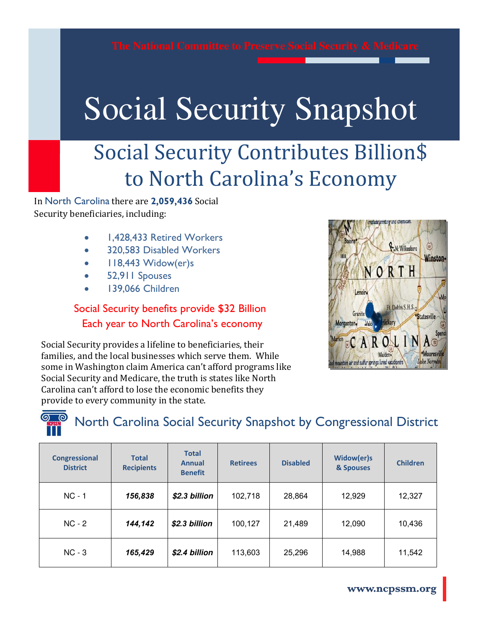## Social Security Snapshot Social Security Snapshot

## Social Security Contributes Billion\$ to North Carolina's Economy

In North Carolina there are **2,059,436** Social Security beneficiaries, including:

- 1,428,433 Retired Workers
- 320,583 Disabled Workers
- $\bullet$  118,443 Widow(er)s
- 52,911 Spouses
- 139,066 Children

#### Social Security benefits provide \$32 Billion Each year to North Carolina's economy



Social Security provides a lifeline to beneficiaries, their families, and the local businesses which serve them. While some in Washington claim America can't afford programs like Social Security and Medicare, the truth is states like North Carolina can't afford to lose the economic benefits they provide to every community in the state.

### North Carolina Social Security Snapshot by Congressional District

| <b>Congressional</b><br><b>District</b> | <b>Total</b><br><b>Recipients</b> | <b>Total</b><br><b>Annual</b><br><b>Benefit</b> | <b>Retirees</b> | <b>Disabled</b> | Widow(er)s<br>& Spouses | <b>Children</b> |
|-----------------------------------------|-----------------------------------|-------------------------------------------------|-----------------|-----------------|-------------------------|-----------------|
| $NC - 1$                                | 156,838                           | \$2.3 billion                                   | 102,718         | 28,864          | 12,929                  | 12,327          |
| $NC - 2$                                | 144,142                           | \$2.3 billion                                   | 100,127         | 21,489          | 12,090                  | 10,436          |
| $NC - 3$                                | 165,429                           | \$2.4 billion                                   | 113,603         | 25,296          | 14,988                  | 11,542          |